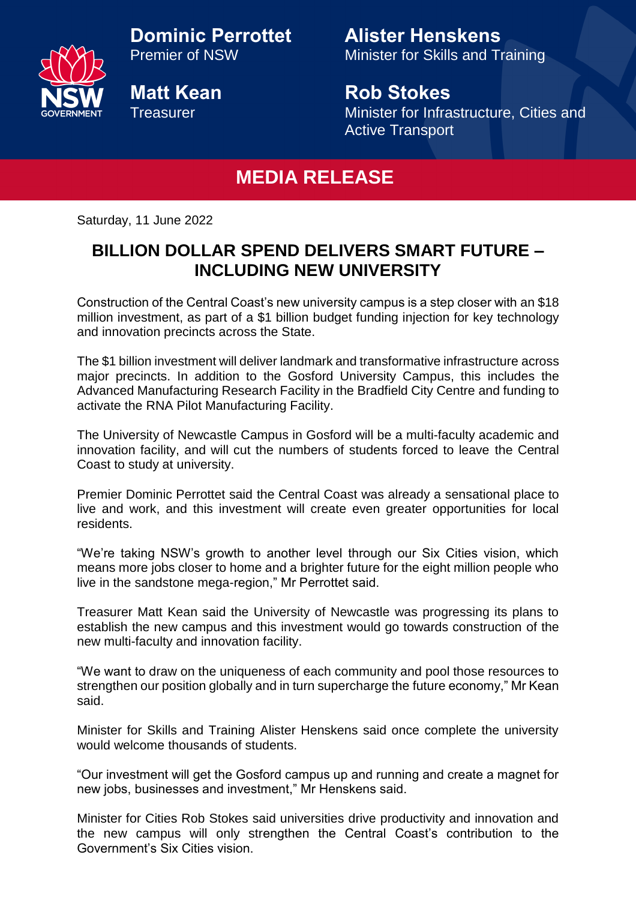

**Dominic Perrottet** Premier of NSW

**Matt Kean Treasurer** 

**Alister Henskens** Minister for Skills and Training

**Rob Stokes** Minister for Infrastructure, Cities and Active Transport

## **MEDIA RELEASE**

Saturday, 11 June 2022

## **BILLION DOLLAR SPEND DELIVERS SMART FUTURE – INCLUDING NEW UNIVERSITY**

Construction of the Central Coast's new university campus is a step closer with an \$18 million investment, as part of a \$1 billion budget funding injection for key technology and innovation precincts across the State.

The \$1 billion investment will deliver landmark and transformative infrastructure across major precincts. In addition to the Gosford University Campus, this includes the Advanced Manufacturing Research Facility in the Bradfield City Centre and funding to activate the RNA Pilot Manufacturing Facility.

The University of Newcastle Campus in Gosford will be a multi-faculty academic and innovation facility, and will cut the numbers of students forced to leave the Central Coast to study at university.

Premier Dominic Perrottet said the Central Coast was already a sensational place to live and work, and this investment will create even greater opportunities for local residents.

"We're taking NSW's growth to another level through our Six Cities vision, which means more jobs closer to home and a brighter future for the eight million people who live in the sandstone mega-region," Mr Perrottet said.

Treasurer Matt Kean said the University of Newcastle was progressing its plans to establish the new campus and this investment would go towards construction of the new multi-faculty and innovation facility.

"We want to draw on the uniqueness of each community and pool those resources to strengthen our position globally and in turn supercharge the future economy," Mr Kean said.

Minister for Skills and Training Alister Henskens said once complete the university would welcome thousands of students.

"Our investment will get the Gosford campus up and running and create a magnet for new jobs, businesses and investment," Mr Henskens said.

Minister for Cities Rob Stokes said universities drive productivity and innovation and the new campus will only strengthen the Central Coast's contribution to the Government's Six Cities vision.